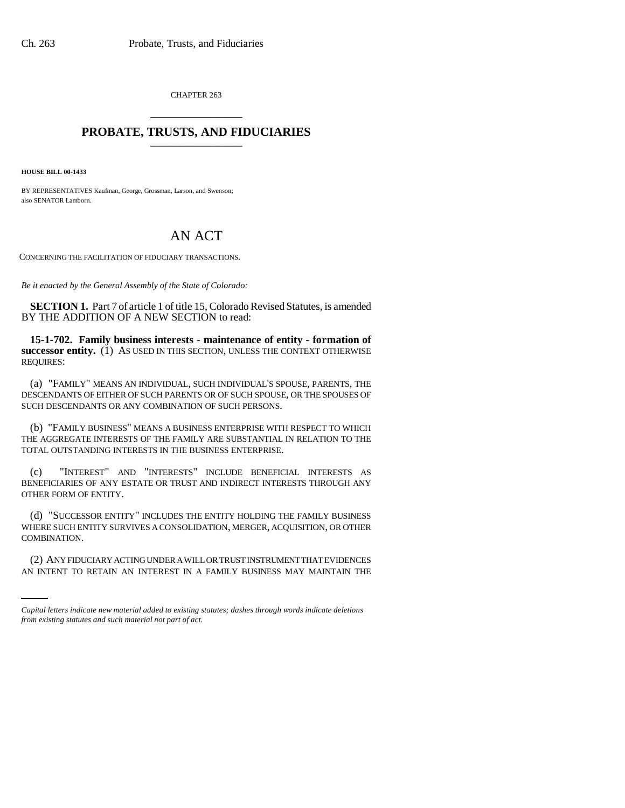CHAPTER 263 \_\_\_\_\_\_\_\_\_\_\_\_\_\_\_

## **PROBATE, TRUSTS, AND FIDUCIARIES** \_\_\_\_\_\_\_\_\_\_\_\_\_\_\_

**HOUSE BILL 00-1433** 

BY REPRESENTATIVES Kaufman, George, Grossman, Larson, and Swenson; also SENATOR Lamborn.

## AN ACT

CONCERNING THE FACILITATION OF FIDUCIARY TRANSACTIONS.

*Be it enacted by the General Assembly of the State of Colorado:*

**SECTION 1.** Part 7 of article 1 of title 15, Colorado Revised Statutes, is amended BY THE ADDITION OF A NEW SECTION to read:

**15-1-702. Family business interests - maintenance of entity - formation of successor entity.** (1) AS USED IN THIS SECTION, UNLESS THE CONTEXT OTHERWISE REQUIRES:

(a) "FAMILY" MEANS AN INDIVIDUAL, SUCH INDIVIDUAL'S SPOUSE, PARENTS, THE DESCENDANTS OF EITHER OF SUCH PARENTS OR OF SUCH SPOUSE, OR THE SPOUSES OF SUCH DESCENDANTS OR ANY COMBINATION OF SUCH PERSONS.

(b) "FAMILY BUSINESS" MEANS A BUSINESS ENTERPRISE WITH RESPECT TO WHICH THE AGGREGATE INTERESTS OF THE FAMILY ARE SUBSTANTIAL IN RELATION TO THE TOTAL OUTSTANDING INTERESTS IN THE BUSINESS ENTERPRISE.

(c) "INTEREST" AND "INTERESTS" INCLUDE BENEFICIAL INTERESTS AS BENEFICIARIES OF ANY ESTATE OR TRUST AND INDIRECT INTERESTS THROUGH ANY OTHER FORM OF ENTITY.

COMBINATION. (d) "SUCCESSOR ENTITY" INCLUDES THE ENTITY HOLDING THE FAMILY BUSINESS WHERE SUCH ENTITY SURVIVES A CONSOLIDATION, MERGER, ACQUISITION, OR OTHER

(2) ANY FIDUCIARY ACTING UNDER A WILL OR TRUST INSTRUMENT THAT EVIDENCES AN INTENT TO RETAIN AN INTEREST IN A FAMILY BUSINESS MAY MAINTAIN THE

*Capital letters indicate new material added to existing statutes; dashes through words indicate deletions from existing statutes and such material not part of act.*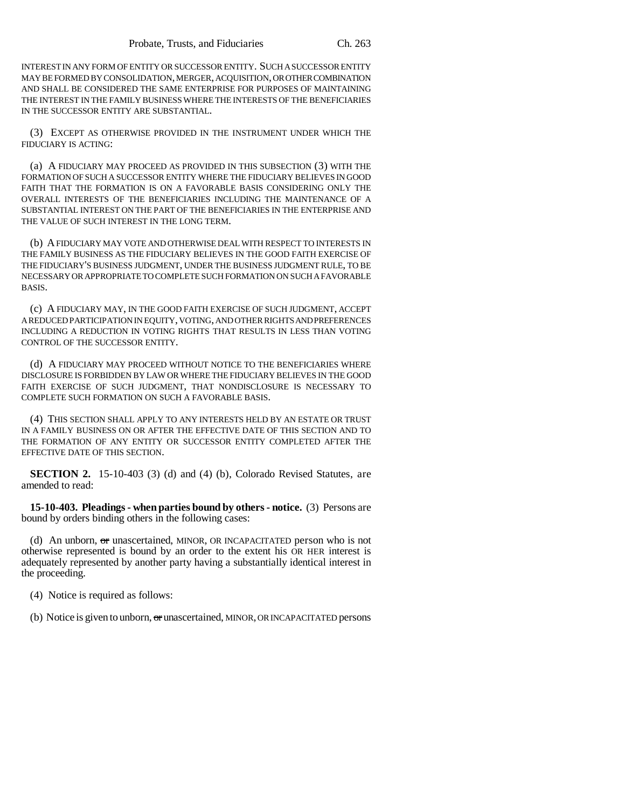INTEREST IN ANY FORM OF ENTITY OR SUCCESSOR ENTITY. SUCH A SUCCESSOR ENTITY MAY BE FORMED BY CONSOLIDATION, MERGER, ACQUISITION, OR OTHER COMBINATION AND SHALL BE CONSIDERED THE SAME ENTERPRISE FOR PURPOSES OF MAINTAINING THE INTEREST IN THE FAMILY BUSINESS WHERE THE INTERESTS OF THE BENEFICIARIES IN THE SUCCESSOR ENTITY ARE SUBSTANTIAL.

(3) EXCEPT AS OTHERWISE PROVIDED IN THE INSTRUMENT UNDER WHICH THE FIDUCIARY IS ACTING:

(a) A FIDUCIARY MAY PROCEED AS PROVIDED IN THIS SUBSECTION (3) WITH THE FORMATION OF SUCH A SUCCESSOR ENTITY WHERE THE FIDUCIARY BELIEVES IN GOOD FAITH THAT THE FORMATION IS ON A FAVORABLE BASIS CONSIDERING ONLY THE OVERALL INTERESTS OF THE BENEFICIARIES INCLUDING THE MAINTENANCE OF A SUBSTANTIAL INTEREST ON THE PART OF THE BENEFICIARIES IN THE ENTERPRISE AND THE VALUE OF SUCH INTEREST IN THE LONG TERM.

(b) A FIDUCIARY MAY VOTE AND OTHERWISE DEAL WITH RESPECT TO INTERESTS IN THE FAMILY BUSINESS AS THE FIDUCIARY BELIEVES IN THE GOOD FAITH EXERCISE OF THE FIDUCIARY'S BUSINESS JUDGMENT, UNDER THE BUSINESS JUDGMENT RULE, TO BE NECESSARY OR APPROPRIATE TO COMPLETE SUCH FORMATION ON SUCH A FAVORABLE BASIS.

(c) A FIDUCIARY MAY, IN THE GOOD FAITH EXERCISE OF SUCH JUDGMENT, ACCEPT A REDUCED PARTICIPATION IN EQUITY, VOTING, AND OTHER RIGHTS AND PREFERENCES INCLUDING A REDUCTION IN VOTING RIGHTS THAT RESULTS IN LESS THAN VOTING CONTROL OF THE SUCCESSOR ENTITY.

(d) A FIDUCIARY MAY PROCEED WITHOUT NOTICE TO THE BENEFICIARIES WHERE DISCLOSURE IS FORBIDDEN BY LAW OR WHERE THE FIDUCIARY BELIEVES IN THE GOOD FAITH EXERCISE OF SUCH JUDGMENT, THAT NONDISCLOSURE IS NECESSARY TO COMPLETE SUCH FORMATION ON SUCH A FAVORABLE BASIS.

(4) THIS SECTION SHALL APPLY TO ANY INTERESTS HELD BY AN ESTATE OR TRUST IN A FAMILY BUSINESS ON OR AFTER THE EFFECTIVE DATE OF THIS SECTION AND TO THE FORMATION OF ANY ENTITY OR SUCCESSOR ENTITY COMPLETED AFTER THE EFFECTIVE DATE OF THIS SECTION.

**SECTION 2.** 15-10-403 (3) (d) and (4) (b), Colorado Revised Statutes, are amended to read:

**15-10-403. Pleadings - when parties bound by others - notice.** (3) Persons are bound by orders binding others in the following cases:

(d) An unborn, or unascertained, MINOR, OR INCAPACITATED person who is not otherwise represented is bound by an order to the extent his OR HER interest is adequately represented by another party having a substantially identical interest in the proceeding.

(4) Notice is required as follows:

(b) Notice is given to unborn, or unascertained, MINOR, OR INCAPACITATED persons